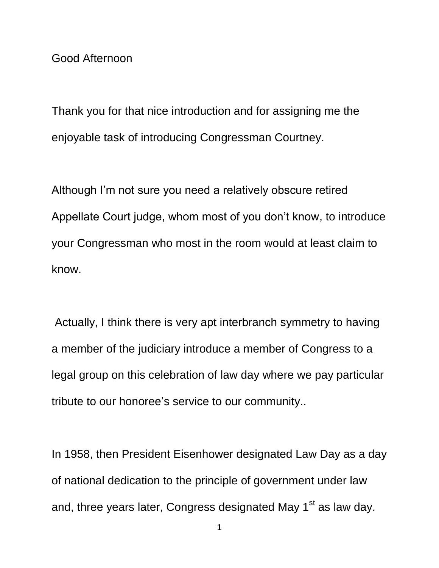Good Afternoon

Thank you for that nice introduction and for assigning me the enjoyable task of introducing Congressman Courtney.

Although I'm not sure you need a relatively obscure retired Appellate Court judge, whom most of you don't know, to introduce your Congressman who most in the room would at least claim to know.

Actually, I think there is very apt interbranch symmetry to having a member of the judiciary introduce a member of Congress to a legal group on this celebration of law day where we pay particular tribute to our honoree's service to our community..

In 1958, then President Eisenhower designated Law Day as a day of national dedication to the principle of government under law and, three years later, Congress designated May 1<sup>st</sup> as law day.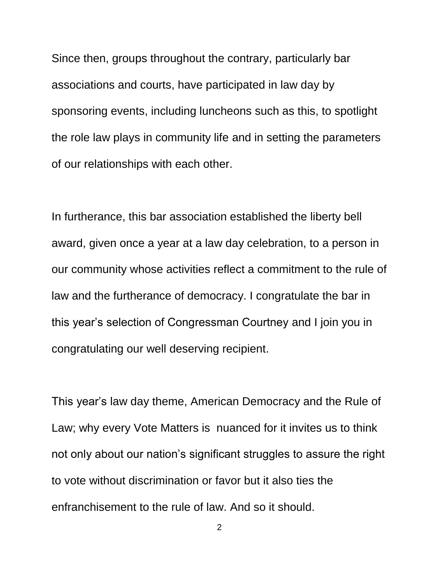Since then, groups throughout the contrary, particularly bar associations and courts, have participated in law day by sponsoring events, including luncheons such as this, to spotlight the role law plays in community life and in setting the parameters of our relationships with each other.

In furtherance, this bar association established the liberty bell award, given once a year at a law day celebration, to a person in our community whose activities reflect a commitment to the rule of law and the furtherance of democracy. I congratulate the bar in this year's selection of Congressman Courtney and I join you in congratulating our well deserving recipient.

This year's law day theme, American Democracy and the Rule of Law; why every Vote Matters is nuanced for it invites us to think not only about our nation's significant struggles to assure the right to vote without discrimination or favor but it also ties the enfranchisement to the rule of law. And so it should.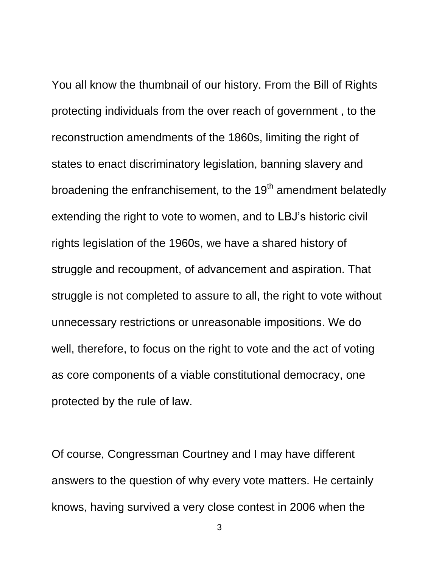You all know the thumbnail of our history. From the Bill of Rights protecting individuals from the over reach of government , to the reconstruction amendments of the 1860s, limiting the right of states to enact discriminatory legislation, banning slavery and broadening the enfranchisement, to the 19<sup>th</sup> amendment belatedly extending the right to vote to women, and to LBJ's historic civil rights legislation of the 1960s, we have a shared history of struggle and recoupment, of advancement and aspiration. That struggle is not completed to assure to all, the right to vote without unnecessary restrictions or unreasonable impositions. We do well, therefore, to focus on the right to vote and the act of voting as core components of a viable constitutional democracy, one protected by the rule of law.

Of course, Congressman Courtney and I may have different answers to the question of why every vote matters. He certainly knows, having survived a very close contest in 2006 when the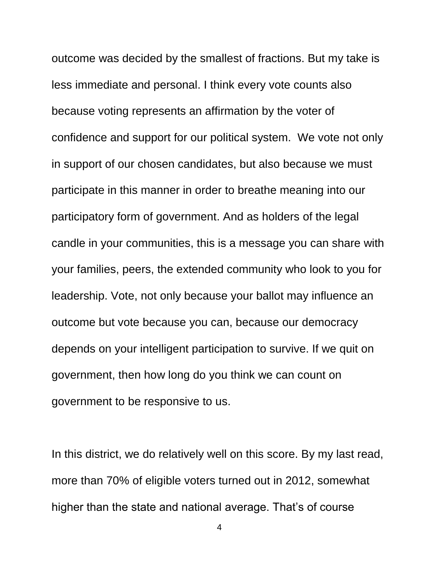outcome was decided by the smallest of fractions. But my take is less immediate and personal. I think every vote counts also because voting represents an affirmation by the voter of confidence and support for our political system. We vote not only in support of our chosen candidates, but also because we must participate in this manner in order to breathe meaning into our participatory form of government. And as holders of the legal candle in your communities, this is a message you can share with your families, peers, the extended community who look to you for leadership. Vote, not only because your ballot may influence an outcome but vote because you can, because our democracy depends on your intelligent participation to survive. If we quit on government, then how long do you think we can count on government to be responsive to us.

In this district, we do relatively well on this score. By my last read, more than 70% of eligible voters turned out in 2012, somewhat higher than the state and national average. That's of course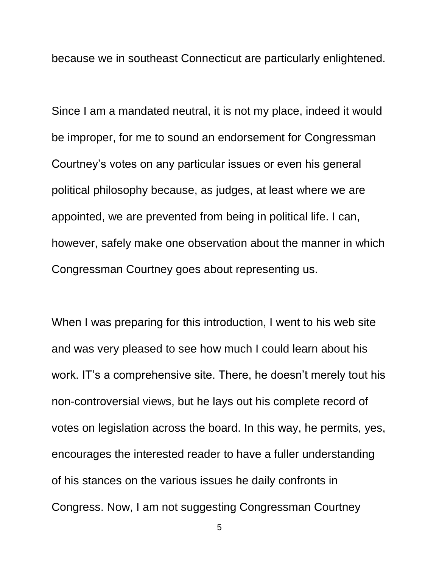because we in southeast Connecticut are particularly enlightened.

Since I am a mandated neutral, it is not my place, indeed it would be improper, for me to sound an endorsement for Congressman Courtney's votes on any particular issues or even his general political philosophy because, as judges, at least where we are appointed, we are prevented from being in political life. I can, however, safely make one observation about the manner in which Congressman Courtney goes about representing us.

When I was preparing for this introduction, I went to his web site and was very pleased to see how much I could learn about his work. IT's a comprehensive site. There, he doesn't merely tout his non-controversial views, but he lays out his complete record of votes on legislation across the board. In this way, he permits, yes, encourages the interested reader to have a fuller understanding of his stances on the various issues he daily confronts in Congress. Now, I am not suggesting Congressman Courtney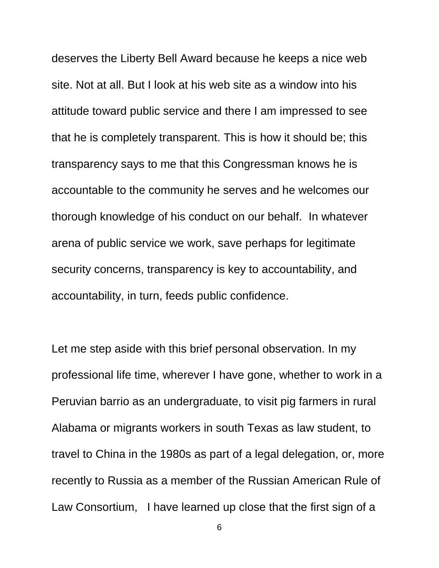deserves the Liberty Bell Award because he keeps a nice web site. Not at all. But I look at his web site as a window into his attitude toward public service and there I am impressed to see that he is completely transparent. This is how it should be; this transparency says to me that this Congressman knows he is accountable to the community he serves and he welcomes our thorough knowledge of his conduct on our behalf. In whatever arena of public service we work, save perhaps for legitimate security concerns, transparency is key to accountability, and accountability, in turn, feeds public confidence.

Let me step aside with this brief personal observation. In my professional life time, wherever I have gone, whether to work in a Peruvian barrio as an undergraduate, to visit pig farmers in rural Alabama or migrants workers in south Texas as law student, to travel to China in the 1980s as part of a legal delegation, or, more recently to Russia as a member of the Russian American Rule of Law Consortium, I have learned up close that the first sign of a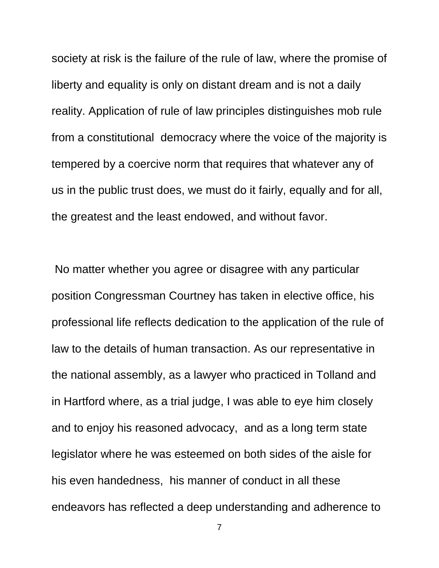society at risk is the failure of the rule of law, where the promise of liberty and equality is only on distant dream and is not a daily reality. Application of rule of law principles distinguishes mob rule from a constitutional democracy where the voice of the majority is tempered by a coercive norm that requires that whatever any of us in the public trust does, we must do it fairly, equally and for all, the greatest and the least endowed, and without favor.

No matter whether you agree or disagree with any particular position Congressman Courtney has taken in elective office, his professional life reflects dedication to the application of the rule of law to the details of human transaction. As our representative in the national assembly, as a lawyer who practiced in Tolland and in Hartford where, as a trial judge, I was able to eye him closely and to enjoy his reasoned advocacy, and as a long term state legislator where he was esteemed on both sides of the aisle for his even handedness, his manner of conduct in all these endeavors has reflected a deep understanding and adherence to